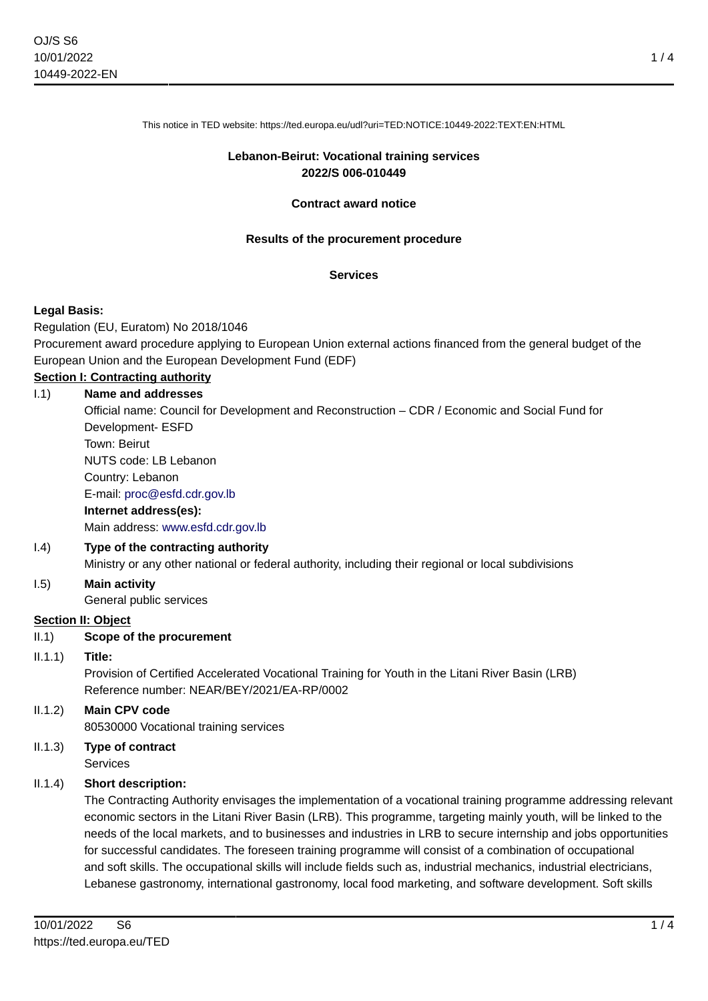This notice in TED website: https://ted.europa.eu/udl?uri=TED:NOTICE:10449-2022:TEXT:EN:HTML

### **Lebanon-Beirut: Vocational training services 2022/S 006-010449**

### **Contract award notice**

### **Results of the procurement procedure**

#### **Services**

### **Legal Basis:**

Regulation (EU, Euratom) No 2018/1046

Procurement award procedure applying to European Union external actions financed from the general budget of the European Union and the European Development Fund (EDF)

# **Section I: Contracting authority**

# I.1) **Name and addresses** Official name: Council for Development and Reconstruction – CDR / Economic and Social Fund for Development- ESFD Town: Beirut NUTS code: LB Lebanon Country: Lebanon E-mail: [proc@esfd.cdr.gov.lb](mailto:proc@esfd.cdr.gov.lb) **Internet address(es):** Main address:<www.esfd.cdr.gov.lb> I.4) **Type of the contracting authority**

Ministry or any other national or federal authority, including their regional or local subdivisions

# I.5) **Main activity**

General public services

### **Section II: Object**

### II.1) **Scope of the procurement**

### II.1.1) **Title:**

Provision of Certified Accelerated Vocational Training for Youth in the Litani River Basin (LRB) Reference number: NEAR/BEY/2021/EA-RP/0002

### II.1.2) **Main CPV code** 80530000 Vocational training services

# II.1.3) **Type of contract**

Services

### II.1.4) **Short description:**

The Contracting Authority envisages the implementation of a vocational training programme addressing relevant economic sectors in the Litani River Basin (LRB). This programme, targeting mainly youth, will be linked to the needs of the local markets, and to businesses and industries in LRB to secure internship and jobs opportunities for successful candidates. The foreseen training programme will consist of a combination of occupational and soft skills. The occupational skills will include fields such as, industrial mechanics, industrial electricians, Lebanese gastronomy, international gastronomy, local food marketing, and software development. Soft skills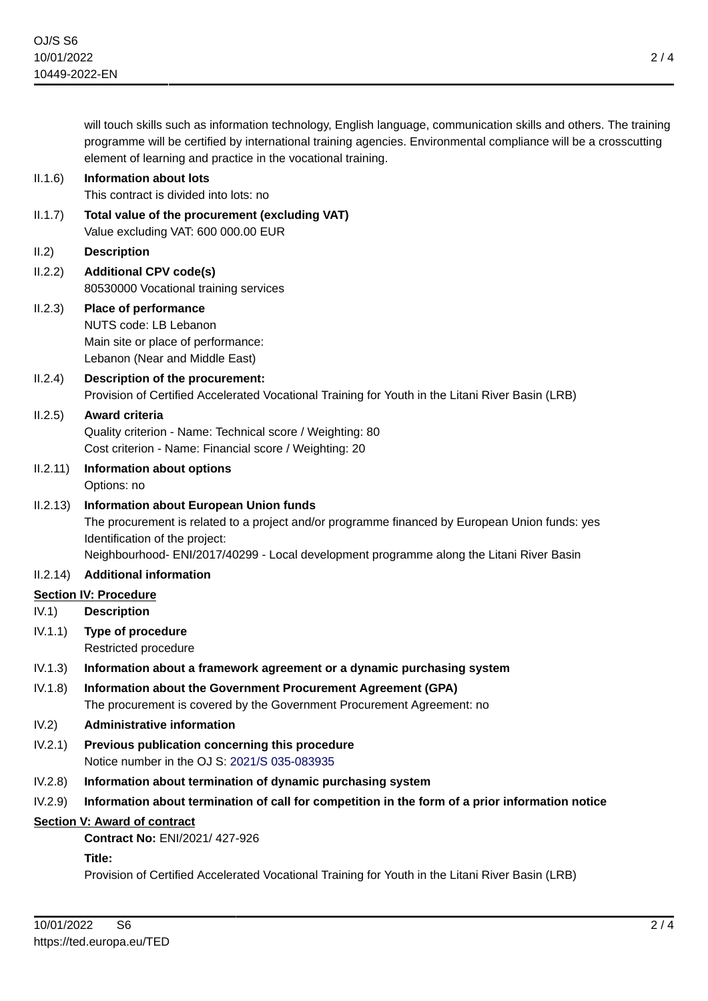will touch skills such as information technology, English language, communication skills and others. The training programme will be certified by international training agencies. Environmental compliance will be a crosscutting element of learning and practice in the vocational training.

- II.1.6) **Information about lots** This contract is divided into lots: no
	- II.1.7) **Total value of the procurement (excluding VAT)** Value excluding VAT: 600 000.00 EUR
	- II.2) **Description**
	- II.2.2) **Additional CPV code(s)** 80530000 Vocational training services

# II.2.3) **Place of performance** NUTS code: LB Lebanon Main site or place of performance: Lebanon (Near and Middle East)

II.2.4) **Description of the procurement:** Provision of Certified Accelerated Vocational Training for Youth in the Litani River Basin (LRB)

# II.2.5) **Award criteria**

Quality criterion - Name: Technical score / Weighting: 80 Cost criterion - Name: Financial score / Weighting: 20

- II.2.11) **Information about options** Options: no
- II.2.13) **Information about European Union funds** The procurement is related to a project and/or programme financed by European Union funds: yes Identification of the project:

Neighbourhood- ENI/2017/40299 - Local development programme along the Litani River Basin

# II.2.14) **Additional information**

# **Section IV: Procedure**

- IV.1) **Description**
- IV.1.1) **Type of procedure** Restricted procedure

# IV.1.3) **Information about a framework agreement or a dynamic purchasing system**

IV.1.8) **Information about the Government Procurement Agreement (GPA)** The procurement is covered by the Government Procurement Agreement: no

# IV.2) **Administrative information**

- IV.2.1) **Previous publication concerning this procedure** Notice number in the OJ S: [2021/S 035-083935](https://ted.europa.eu/udl?uri=TED:NOTICE:83935-2021:TEXT:EN:HTML)
- IV.2.8) **Information about termination of dynamic purchasing system**
- IV.2.9) **Information about termination of call for competition in the form of a prior information notice**

# **Section V: Award of contract**

**Contract No:** ENI/2021/ 427-926

### **Title:**

Provision of Certified Accelerated Vocational Training for Youth in the Litani River Basin (LRB)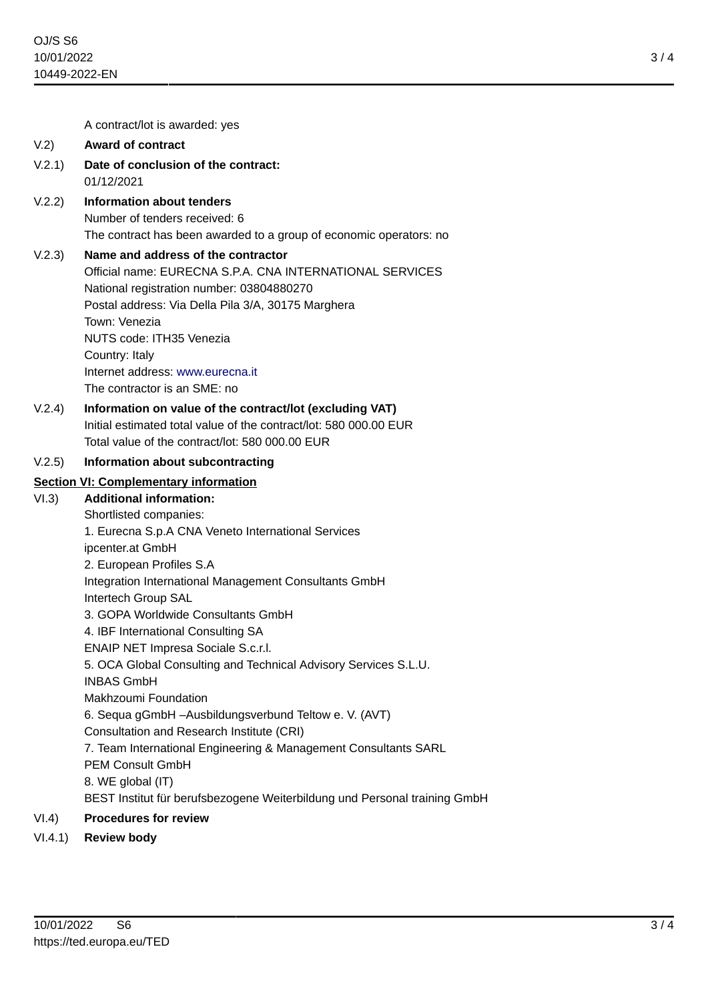3 / 4

A contract/lot is awarded: yes

# V.2) **Award of contract**

- V.2.1) **Date of conclusion of the contract:** 01/12/2021
- V.2.2) **Information about tenders** Number of tenders received: 6 The contract has been awarded to a group of economic operators: no

# V.2.3) **Name and address of the contractor**

Official name: EURECNA S.P.A. CNA INTERNATIONAL SERVICES National registration number: 03804880270 Postal address: Via Della Pila 3/A, 30175 Marghera Town: Venezia NUTS code: ITH35 Venezia Country: Italy Internet address: <www.eurecna.it> The contractor is an SME: no

V.2.4) **Information on value of the contract/lot (excluding VAT)** Initial estimated total value of the contract/lot: 580 000.00 EUR Total value of the contract/lot: 580 000.00 EUR

## V.2.5) **Information about subcontracting**

# **Section VI: Complementary information**

- VI.3) **Additional information:**
	- Shortlisted companies:

1. Eurecna S.p.A CNA Veneto International Services

ipcenter.at GmbH

2. European Profiles S.A

Integration International Management Consultants GmbH

Intertech Group SAL

- 3. GOPA Worldwide Consultants GmbH
- 4. IBF International Consulting SA

ENAIP NET Impresa Sociale S.c.r.l.

5. OCA Global Consulting and Technical Advisory Services S.L.U.

INBAS GmbH

Makhzoumi Foundation

6. Sequa gGmbH –Ausbildungsverbund Teltow e. V. (AVT)

Consultation and Research Institute (CRI)

7. Team International Engineering & Management Consultants SARL

PEM Consult GmbH

8. WE global (IT)

BEST Institut für berufsbezogene Weiterbildung und Personal training GmbH

# VI.4) **Procedures for review**

VI.4.1) **Review body**